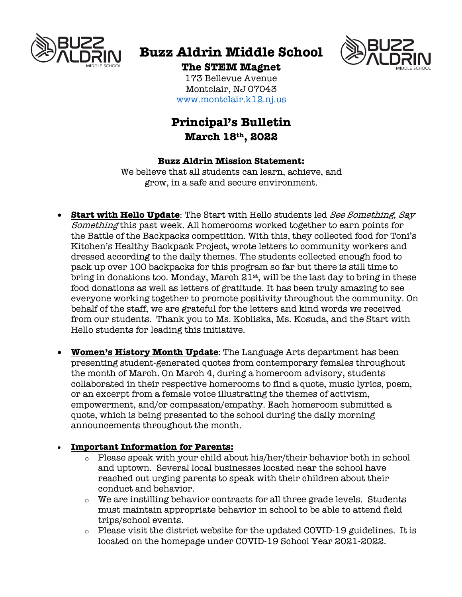

# **Buzz Aldrin Middle School**



# **The STEM Magnet**

173 Bellevue Avenue Montclair, NJ 07043 www.montclair.k12.nj.us

# **Principal's Bulletin March 18th, 2022**

#### **Buzz Aldrin Mission Statement:**

We believe that all students can learn, achieve, and grow, in a safe and secure environment.

- **Start with Hello Update**: The Start with Hello students led See Something, Say Something this past week. All homerooms worked together to earn points for the Battle of the Backpacks competition. With this, they collected food for Toni's Kitchen's Healthy Backpack Project, wrote letters to community workers and dressed according to the daily themes. The students collected enough food to pack up over 100 backpacks for this program so far but there is still time to bring in donations too. Monday, March  $21<sup>st</sup>$ , will be the last day to bring in these food donations as well as letters of gratitude. It has been truly amazing to see everyone working together to promote positivity throughout the community. On behalf of the staff, we are grateful for the letters and kind words we received from our students. Thank you to Ms. Kobliska, Ms. Kosuda, and the Start with Hello students for leading this initiative.
- **Women's History Month Update**: The Language Arts department has been presenting student-generated quotes from contemporary females throughout the month of March. On March 4, during a homeroom advisory, students collaborated in their respective homerooms to find a quote, music lyrics, poem, or an excerpt from a female voice illustrating the themes of activism, empowerment, and/or compassion/empathy. Each homeroom submitted a quote, which is being presented to the school during the daily morning announcements throughout the month.

### • **Important Information for Parents:**

- o Please speak with your child about his/her/their behavior both in school and uptown. Several local businesses located near the school have reached out urging parents to speak with their children about their conduct and behavior.
- $\circ$  We are instilling behavior contracts for all three grade levels. Students must maintain appropriate behavior in school to be able to attend field trips/school events.
- o Please visit the district website for the updated COVID-19 guidelines. It is located on the homepage under COVID-19 School Year 2021-2022.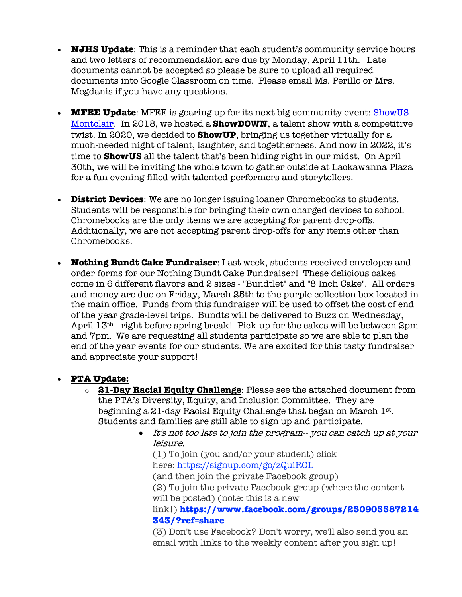- **NJHS Update**: This is a reminder that each student's community service hours and two letters of recommendation are due by Monday, April 11th. Late documents cannot be accepted so please be sure to upload all required documents into Google Classroom on time. Please email Ms. Perillo or Mrs. Megdanis if you have any questions.
- **MFEE Update**: MFEE is gearing up for its next big community event: ShowUS Montclair. In 2018, we hosted a **ShowDOWN**, a talent show with a competitive twist. In 2020, we decided to **ShowUP**, bringing us together virtually for a much-needed night of talent, laughter, and togetherness. And now in 2022, it's time to **ShowUS** all the talent that's been hiding right in our midst. On April 30th, we will be inviting the whole town to gather outside at Lackawanna Plaza for a fun evening filled with talented performers and storytellers.
- **District Devices**: We are no longer issuing loaner Chromebooks to students. Students will be responsible for bringing their own charged devices to school. Chromebooks are the only items we are accepting for parent drop-offs. Additionally, we are not accepting parent drop-offs for any items other than Chromebooks.
- **Nothing Bundt Cake Fundraiser**: Last week, students received envelopes and order forms for our Nothing Bundt Cake Fundraiser! These delicious cakes come in 6 different flavors and 2 sizes - "Bundtlet" and "8 Inch Cake". All orders and money are due on Friday, March 25th to the purple collection box located in the main office. Funds from this fundraiser will be used to offset the cost of end of the year grade-level trips. Bundts will be delivered to Buzz on Wednesday, April  $13<sup>th</sup>$  - right before spring break! Pick-up for the cakes will be between 2pm and 7pm. We are requesting all students participate so we are able to plan the end of the year events for our students. We are excited for this tasty fundraiser and appreciate your support!

### • **PTA Update:**

- o **21-Day Racial Equity Challenge**: Please see the attached document from the PTA's Diversity, Equity, and Inclusion Committee. They are beginning a 21-day Racial Equity Challenge that began on March  $1^{st}$ . Students and families are still able to sign up and participate.
	- It's not too late to join the program-- you can catch up at your leisure.

(1) To join (you and/or your student) click here: https://signup.com/go/zQuiROL (and then join the private Facebook group) (2) To join the private Facebook group (where the content will be posted) (note: this is a new link!) **https://www.facebook.com/groups/250905587214 343/?ref=share**

(3) Don't use Facebook? Don't worry, we'll also send you an email with links to the weekly content after you sign up!